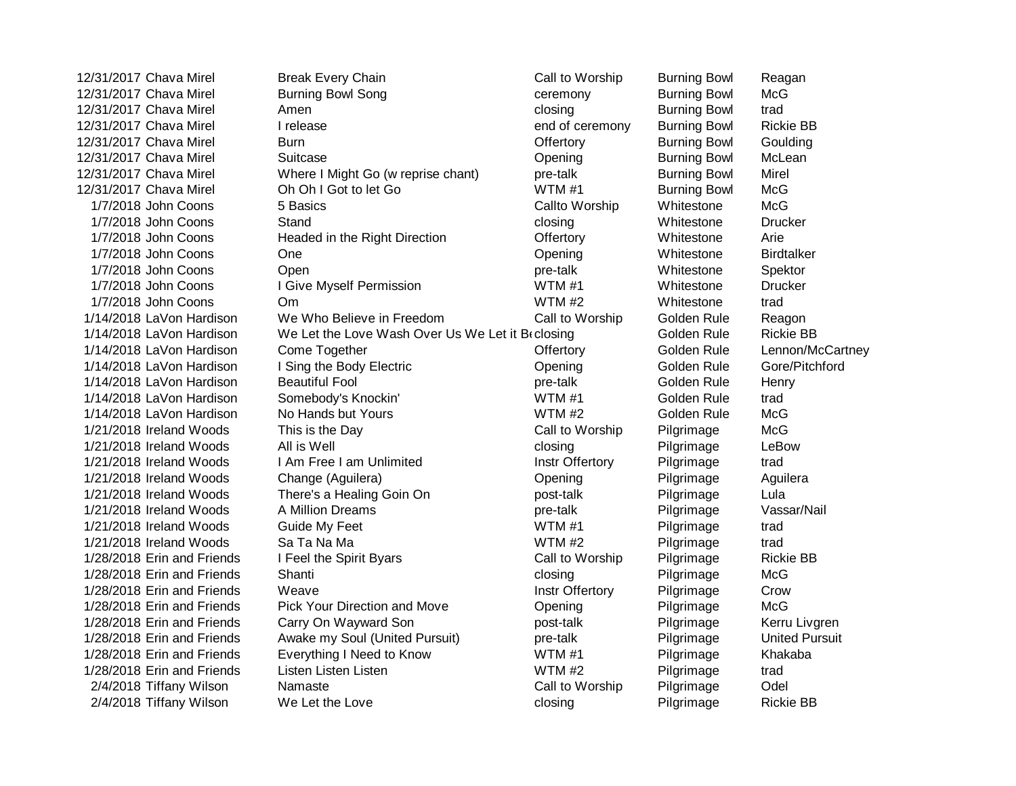| 12/31/2017 Chava Mirel     | <b>Break Every Chain</b>                         | Call to Worship | <b>Burning Bowl</b> | Reagan                |
|----------------------------|--------------------------------------------------|-----------------|---------------------|-----------------------|
| 12/31/2017 Chava Mirel     | <b>Burning Bowl Song</b>                         | ceremony        | <b>Burning Bowl</b> | McG                   |
| 12/31/2017 Chava Mirel     | Amen                                             | closing         | <b>Burning Bowl</b> | trad                  |
| 12/31/2017 Chava Mirel     | I release                                        | end of ceremony | <b>Burning Bowl</b> | <b>Rickie BB</b>      |
| 12/31/2017 Chava Mirel     | Burn                                             | Offertory       | <b>Burning Bowl</b> | Goulding              |
| 12/31/2017 Chava Mirel     | Suitcase                                         | Opening         | <b>Burning Bowl</b> | McLean                |
| 12/31/2017 Chava Mirel     | Where I Might Go (w reprise chant)               | pre-talk        | <b>Burning Bowl</b> | Mirel                 |
| 12/31/2017 Chava Mirel     | Oh Oh I Got to let Go                            | WTM#1           | <b>Burning Bowl</b> | <b>McG</b>            |
| 1/7/2018 John Coons        | 5 Basics                                         | Callto Worship  | Whitestone          | <b>McG</b>            |
| 1/7/2018 John Coons        | Stand                                            | closing         | Whitestone          | <b>Drucker</b>        |
| 1/7/2018 John Coons        | Headed in the Right Direction                    | Offertory       | Whitestone          | Arie                  |
| 1/7/2018 John Coons        | One                                              | Opening         | Whitestone          | <b>Birdtalker</b>     |
| 1/7/2018 John Coons        | Open                                             | pre-talk        | Whitestone          | Spektor               |
| 1/7/2018 John Coons        | I Give Myself Permission                         | WTM#1           | Whitestone          | <b>Drucker</b>        |
| 1/7/2018 John Coons        | Om                                               | WTM #2          | Whitestone          | trad                  |
| 1/14/2018 LaVon Hardison   | We Who Believe in Freedom                        | Call to Worship | Golden Rule         | Reagon                |
| 1/14/2018 LaVon Hardison   | We Let the Love Wash Over Us We Let it Brclosing |                 | Golden Rule         | <b>Rickie BB</b>      |
| 1/14/2018 LaVon Hardison   | Come Together                                    | Offertory       | Golden Rule         | Lennon/McCartney      |
| 1/14/2018 LaVon Hardison   | I Sing the Body Electric                         | Opening         | Golden Rule         | Gore/Pitchford        |
| 1/14/2018 LaVon Hardison   | <b>Beautiful Fool</b>                            | pre-talk        | Golden Rule         | Henry                 |
| 1/14/2018 LaVon Hardison   | Somebody's Knockin'                              | WTM#1           | Golden Rule         | trad                  |
| 1/14/2018 LaVon Hardison   | No Hands but Yours                               | WTM #2          | Golden Rule         | <b>McG</b>            |
| 1/21/2018 Ireland Woods    | This is the Day                                  | Call to Worship | Pilgrimage          | <b>McG</b>            |
| 1/21/2018 Ireland Woods    | All is Well                                      | closing         | Pilgrimage          | LeBow                 |
| 1/21/2018 Ireland Woods    | I Am Free I am Unlimited                         | Instr Offertory | Pilgrimage          | trad                  |
| 1/21/2018 Ireland Woods    | Change (Aguilera)                                | Opening         | Pilgrimage          | Aguilera              |
| 1/21/2018 Ireland Woods    | There's a Healing Goin On                        | post-talk       | Pilgrimage          | Lula                  |
| 1/21/2018 Ireland Woods    | A Million Dreams                                 | pre-talk        | Pilgrimage          | Vassar/Nail           |
| 1/21/2018 Ireland Woods    | Guide My Feet                                    | WTM#1           | Pilgrimage          | trad                  |
| 1/21/2018 Ireland Woods    | Sa Ta Na Ma                                      | WTM #2          | Pilgrimage          | trad                  |
| 1/28/2018 Erin and Friends | I Feel the Spirit Byars                          | Call to Worship | Pilgrimage          | <b>Rickie BB</b>      |
| 1/28/2018 Erin and Friends | Shanti                                           | closing         | Pilgrimage          | <b>McG</b>            |
| 1/28/2018 Erin and Friends | Weave                                            | Instr Offertory | Pilgrimage          | Crow                  |
| 1/28/2018 Erin and Friends | <b>Pick Your Direction and Move</b>              | Opening         | Pilgrimage          | <b>McG</b>            |
| 1/28/2018 Erin and Friends | Carry On Wayward Son                             | post-talk       | Pilgrimage          | Kerru Livgren         |
| 1/28/2018 Erin and Friends | Awake my Soul (United Pursuit)                   | pre-talk        | Pilgrimage          | <b>United Pursuit</b> |
| 1/28/2018 Erin and Friends | Everything I Need to Know                        | WTM#1           | Pilgrimage          | Khakaba               |
| 1/28/2018 Erin and Friends | Listen Listen Listen                             | WTM #2          | Pilgrimage          | trad                  |
| 2/4/2018 Tiffany Wilson    | Namaste                                          | Call to Worship | Pilgrimage          | Odel                  |
| 2/4/2018 Tiffany Wilson    | We Let the Love                                  | closing         | Pilgrimage          | <b>Rickie BB</b>      |
|                            |                                                  |                 |                     |                       |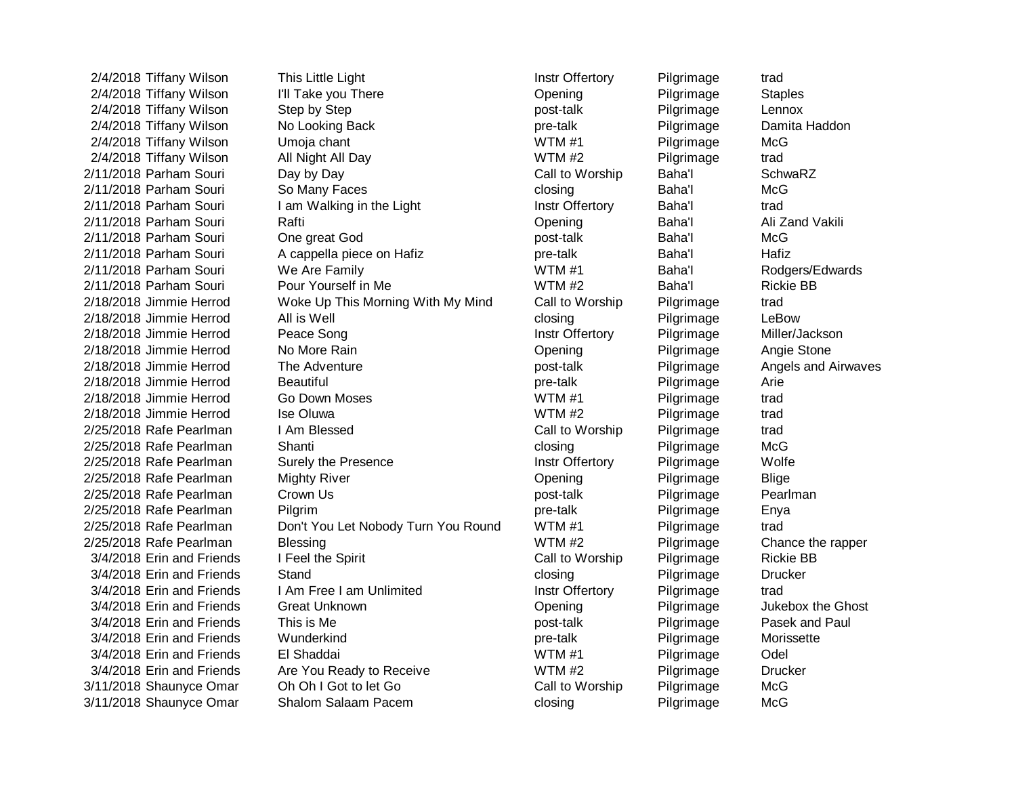2/4/2018 Tiffany Wilson This Little Light Instrument Instr Offertory Pilgrimage trad 2/4/2018 Tiffany Wilson I'll Take you There **Opening** Pilgrimage Staples 2/4/2018 Tiffany Wilson Step by Step **post-talk** Pilgrimage Lennox 2/4/2018 Tiffany Wilson No Looking Back **pre-talk** pre-talk Pilgrimage Damita Haddon 2/4/2018 Tiffany Wilson Umoja chant WTM #1 Pilgrimage McG 2/4/2018 Tiffany Wilson All Night All Day Number 2014/2018 Tiffany Wilson trad 2/11/2018 Parham Souri Day by Day Carriet Call to Worship Baha'l SchwaRZ 2/11/2018 Parham Souri So Many Faces closing closing Baha'l McG 2/11/2018 Parham Souri I am Walking in the Light Instr Offertory Baha'l trad 2/11/2018 Parham Souri **Rafti Communisties Communisties Communisties Communisties Communisties Communisties Communisties Communisties Ali Zand Vakili** 2/11/2018 Parham Souri One great God **post-talk** post-talk Baha'l McG 2/11/2018 Parham Souri and A cappella piece on Hafiz and pre-talk Baha'l Baha'l Hafiz 2/11/2018 Parham Souri We Are Family Werell Muslim WTM #1 Baha'l Baha'l Rodgers/Edwards 2/11/2018 Parham Souri Pour Yourself in Me New Yourself in Me WTM #2 Baha'l Rickie BB 2/18/2018 Jimmie Herrod Woke Up This Morning With My Mind Call to Worship Pilgrimage trad 2/18/2018 Jimmie Herrod All is Well closing Pilgrimage LeBow 2/18/2018 Jimmie Herrod Peace Song **Instrime Instrime Automobile Constructs** Instr Offertory Pilgrimage Miller/Jackson 2/18/2018 Jimmie Herrod No More Rain Opening Pilgrimage Angie Stone 2/18/2018 Jimmie Herrod The Adventure **Providentially** post-talk Pilgrimage Angels and Airwaves 2/18/2018 Jimmie Herrod Beautiful pre-talk Pilgrimage Arie 2/18/2018 Jimmie Herrod Go Down Moses WTM #1 Pilgrimage trad 2/18/2018 Jimmie Herrod Ise Oluwa WTM #2 Pilgrimage trad 2/25/2018 Rafe Pearlman I Am Blessed Call to Worship Pilgrimage trad 2/25/2018 Rafe Pearlman Shanti closing Pilgrimage McG 2/25/2018 Rafe Pearlman Surely the Presence **Instrict Construent Construent Pilgrimage** Wolfe 2/25/2018 Rafe Pearlman Mighty River **Communist Communist Communist Communist Pilgrimage** Blige 2/25/2018 Rafe Pearlman Crown Us being the post-talk post-talk Pilgrimage Pearlman 2/25/2018 Rafe Pearlman Pilgrim pre-talk Pilgrimage Enya 2/25/2018 Rafe Pearlman Don't You Let Nobody Turn You Round WTM #1 Pilgrimage trad 2/25/2018 Rafe Pearlman Blessing Blessing Blessing WTM #2 Pilgrimage Chance the rapper 3/4/2018 Erin and Friends I Feel the Spirit Call to Worship Pilgrimage Rickie BB 3/4/2018 Erin and Friends Stand Closing Closing Pilgrimage Drucker 3/4/2018 Erin and Friends I Am Free I am Unlimited Instr Offertory Pilgrimage trad 3/4/2018 Erin and Friends Great Unknown **Communist Communist Communist Communist Communist Communist Communist Communist Communist Communist Communist Communist Chost** 3/4/2018 Erin and Friends This is Me **post-talk** Pilgrimage Pasek and Paul 3/4/2018 Erin and Friends Wunderkind pre-talk Pilgrimage Morissette 3/4/2018 Erin and Friends El Shaddai WTM #1 Pilgrimage Odel 3/4/2018 Erin and Friends Are You Ready to Receive WTM #2 Pilgrimage Drucker 3/11/2018 Shaunyce Omar Ch Oh I Got to let Go Call to Worship Pilgrimage McG 3/11/2018 Shaunyce Omar Shalom Salaam Pacem closing Pilgrimage McG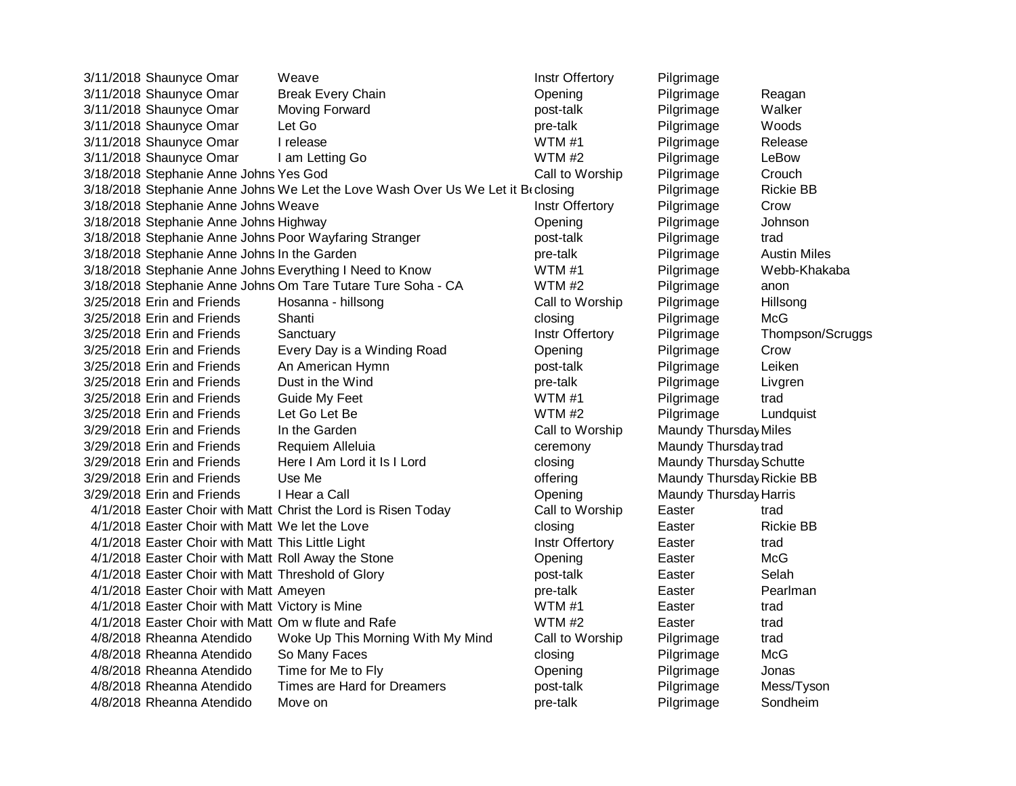| 3/11/2018 Shaunyce Omar                                        | Weave                                                                            | Instr Offertory | Pilgrimage                |                     |
|----------------------------------------------------------------|----------------------------------------------------------------------------------|-----------------|---------------------------|---------------------|
| 3/11/2018 Shaunyce Omar                                        | <b>Break Every Chain</b>                                                         | Opening         | Pilgrimage                | Reagan              |
| 3/11/2018 Shaunyce Omar                                        | Moving Forward                                                                   | post-talk       | Pilgrimage                | Walker              |
| 3/11/2018 Shaunyce Omar                                        | Let Go                                                                           | pre-talk        | Pilgrimage                | Woods               |
| 3/11/2018 Shaunyce Omar                                        | I release                                                                        | WTM#1           | Pilgrimage                | Release             |
| 3/11/2018 Shaunyce Omar                                        | I am Letting Go                                                                  | WTM #2          | Pilgrimage                | LeBow               |
| 3/18/2018 Stephanie Anne Johns Yes God                         |                                                                                  | Call to Worship | Pilgrimage                | Crouch              |
|                                                                | 3/18/2018 Stephanie Anne Johns We Let the Love Wash Over Us We Let it Br closing |                 | Pilgrimage                | <b>Rickie BB</b>    |
| 3/18/2018 Stephanie Anne Johns Weave                           |                                                                                  | Instr Offertory | Pilgrimage                | Crow                |
| 3/18/2018 Stephanie Anne Johns Highway                         |                                                                                  | Opening         | Pilgrimage                | Johnson             |
| 3/18/2018 Stephanie Anne Johns Poor Wayfaring Stranger         |                                                                                  | post-talk       | Pilgrimage                | trad                |
| 3/18/2018 Stephanie Anne Johns In the Garden                   |                                                                                  | pre-talk        | Pilgrimage                | <b>Austin Miles</b> |
| 3/18/2018 Stephanie Anne Johns Everything I Need to Know       |                                                                                  | WTM#1           | Pilgrimage                | Webb-Khakaba        |
| 3/18/2018 Stephanie Anne Johns Om Tare Tutare Ture Soha - CA   |                                                                                  | WTM #2          | Pilgrimage                | anon                |
| 3/25/2018 Erin and Friends                                     | Hosanna - hillsong                                                               | Call to Worship | Pilgrimage                | Hillsong            |
| 3/25/2018 Erin and Friends                                     | Shanti                                                                           | closing         | Pilgrimage                | McG                 |
| 3/25/2018 Erin and Friends                                     | Sanctuary                                                                        | Instr Offertory | Pilgrimage                | Thompson/Scruggs    |
| 3/25/2018 Erin and Friends                                     | Every Day is a Winding Road                                                      | Opening         | Pilgrimage                | Crow                |
| 3/25/2018 Erin and Friends                                     | An American Hymn                                                                 | post-talk       | Pilgrimage                | Leiken              |
| 3/25/2018 Erin and Friends                                     | Dust in the Wind                                                                 | pre-talk        | Pilgrimage                | Livgren             |
| 3/25/2018 Erin and Friends                                     | Guide My Feet                                                                    | WTM#1           | Pilgrimage                | trad                |
| 3/25/2018 Erin and Friends                                     | Let Go Let Be                                                                    | WTM #2          | Pilgrimage                | Lundquist           |
| 3/29/2018 Erin and Friends                                     | In the Garden                                                                    | Call to Worship | Maundy Thursday Miles     |                     |
| 3/29/2018 Erin and Friends                                     | Requiem Alleluia                                                                 | ceremony        | Maundy Thursday trad      |                     |
| 3/29/2018 Erin and Friends                                     | Here I Am Lord it Is I Lord                                                      | closing         | Maundy Thursday Schutte   |                     |
| 3/29/2018 Erin and Friends                                     | Use Me                                                                           | offering        | Maundy Thursday Rickie BB |                     |
| 3/29/2018 Erin and Friends                                     | I Hear a Call                                                                    | Opening         | Maundy Thursday Harris    |                     |
| 4/1/2018 Easter Choir with Matt Christ the Lord is Risen Today |                                                                                  | Call to Worship | Easter                    | trad                |
| 4/1/2018 Easter Choir with Matt We let the Love                |                                                                                  | closing         | Easter                    | <b>Rickie BB</b>    |
| 4/1/2018 Easter Choir with Matt This Little Light              |                                                                                  | Instr Offertory | Easter                    | trad                |
| 4/1/2018 Easter Choir with Matt Roll Away the Stone            |                                                                                  | Opening         | Easter                    | <b>McG</b>          |
| 4/1/2018 Easter Choir with Matt Threshold of Glory             |                                                                                  | post-talk       | Easter                    | Selah               |
| 4/1/2018 Easter Choir with Matt Ameyen                         |                                                                                  | pre-talk        | Easter                    | Pearlman            |
| 4/1/2018 Easter Choir with Matt Victory is Mine                |                                                                                  | WTM#1           | Easter                    | trad                |
| 4/1/2018 Easter Choir with Matt Om w flute and Rafe            |                                                                                  | WTM #2          | Easter                    | trad                |
| 4/8/2018 Rheanna Atendido                                      | Woke Up This Morning With My Mind                                                | Call to Worship | Pilgrimage                | trad                |
| 4/8/2018 Rheanna Atendido                                      | So Many Faces                                                                    | closing         | Pilgrimage                | <b>McG</b>          |
| 4/8/2018 Rheanna Atendido                                      | Time for Me to Fly                                                               | Opening         | Pilgrimage                | Jonas               |
| 4/8/2018 Rheanna Atendido                                      | <b>Times are Hard for Dreamers</b>                                               | post-talk       | Pilgrimage                | Mess/Tyson          |
| 4/8/2018 Rheanna Atendido                                      | Move on                                                                          | pre-talk        | Pilgrimage                | Sondheim            |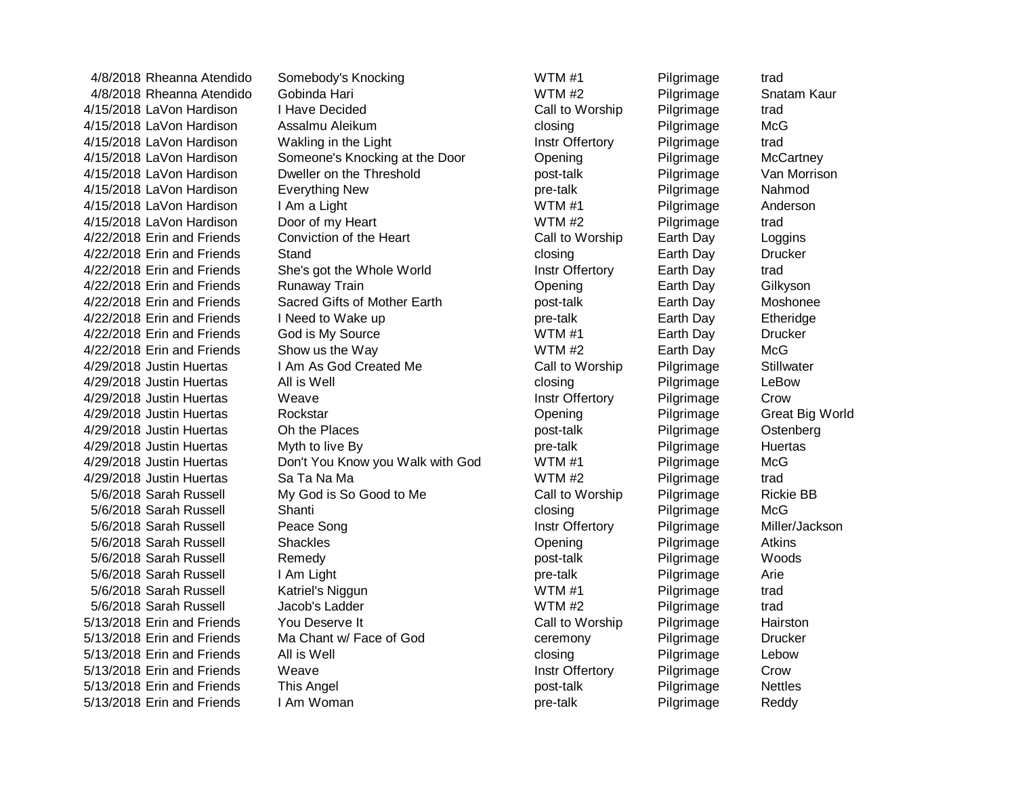4/8/2018 Rheanna Atendido Somebody's Knocking North WTM #1 Pilgrimage trad 4/8/2018 Rheanna Atendido Gobinda Hari WTM #2 Pilgrimage Snatam Kaur 4/15/2018 LaVon Hardison I Have Decided Call to Worship Pilgrimage trad 4/15/2018 LaVon Hardison Assalmu Aleikum channel experience closing Pilgrimage McG 4/15/2018 LaVon Hardison Wakling in the Light Instr Offertory Pilgrimage trad 4/15/2018 LaVon Hardison Someone's Knocking at the Door Copening Pilgrimage McCartney 4/15/2018 LaVon Hardison Dweller on the Threshold **post-talk** post-talk Pilgrimage Van Morrison 4/15/2018 LaVon Hardison Everything New pre-talk Pilgrimage Nahmod 4/15/2018 LaVon Hardison I Am a Light New York WTM #1 Pilgrimage Anderson 4/15/2018 LaVon Hardison Door of my Heart WTM #2 Pilgrimage trad 4/22/2018 Erin and Friends Conviction of the Heart Call to Worship Earth Day Loggins 4/22/2018 Erin and Friends Stand Closs Stand Clossing Earth Day Drucker 4/22/2018 Erin and Friends She's got the Whole World Instr Offertory Earth Day trad 4/22/2018 Erin and Friends Runaway Train **Communist Communist Communist Carth Day** Gilkyson 4/22/2018 Erin and Friends Sacred Gifts of Mother Earth **Earth Accord Earth Day** Moshonee 4/22/2018 Erin and Friends I Need to Wake up **pre-talk** by pre-talk **Earth Day** Etheridge 4/22/2018 Erin and Friends God is My Source Network Corresponding the MTM #1 The Earth Day Drucker 4/22/2018 Erin and Friends Show us the Way Note Network Control Number 2014 McG 4/29/2018 Justin Huertas I Am As God Created Me Call to Worship Pilgrimage Stillwater 4/29/2018 Justin Huertas All is Well closing closing Pilgrimage LeBow 4/29/2018 Justin Huertas Weave **Instrict Allection Crow** Instr<sup>out</sup> Pilgrimage Crow 4/29/2018 Justin Huertas Rockstar Opening Pilgrimage Great Big World 4/29/2018 Justin Huertas Chithe Places **Communist Communist Communist Communist Constant** Pilgrimage Ostenberg 4/29/2018 Justin Huertas Myth to live By pre-talk pre-talk Pilgrimage Huertas 4/29/2018 Justin Huertas **Don't You Know you Walk with God** WTM #1 Pilgrimage McG 4/29/2018 Justin Huertas Sa Ta Na Ma WTM #2 Pilgrimage trad 5/6/2018 Sarah Russell My God is So Good to Me Call to Worship Pilgrimage Rickie BB 5/6/2018 Sarah Russell Shanti closing Pilgrimage McG 5/6/2018 Sarah Russell **Peace Song Communist Communist Communist** Instr Offertory Pilgrimage Miller/Jackson 5/6/2018 Sarah Russell Shackles Opening Pilgrimage Atkins 5/6/2018 Sarah Russell Remedy post-talk Pilgrimage Woods 5/6/2018 Sarah Russell I Am Light pre-talk Pilgrimage Arie 5/6/2018 Sarah Russell Katriel's Niggun WTM #1 Pilgrimage trad 5/6/2018 Sarah Russell Jacob's Ladder WTM #2 Pilgrimage trad 5/13/2018 Erin and Friends You Deserve It Call to Worship Pilgrimage Hairston 5/13/2018 Erin and Friends Ma Chant w/ Face of God ceremony Pilgrimage Drucker 5/13/2018 Erin and Friends All is Well closing closing Pilgrimage Lebow 5/13/2018 Erin and Friends Weave **Instrict Areas Crow** Instr Offertory Pilgrimage Crow 5/13/2018 Erin and Friends This Angel **Friends** This Angel post-talk Pilgrimage Nettles 5/13/2018 Erin and Friends I Am Woman **but a community contract the Community** pre-talk Pilgrimage Reddy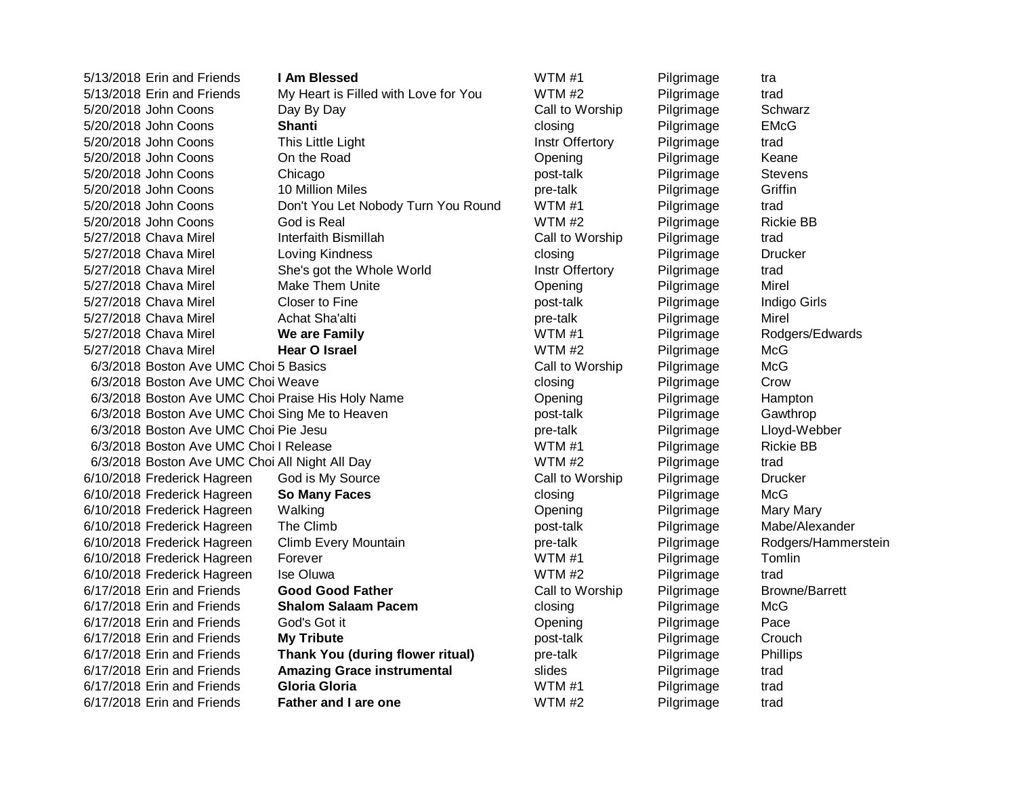5/13/2018 Erin and Friends **I Am Blessed** WTM #1 Pilgrimage tra 5/13/2018 Erin and Friends My Heart is Filled with Love for You WTM #2 Pilgrimage trad 5/20/2018 John Coons **Day By Day Call to Worship** Pilgrimage Schwarz 5/20/2018 John Coons **Shanti** closing Pilgrimage EMcG 5/20/2018 John Coons This Little Light Instrument Communication Communication of the Light Instrument Communication of trad 5/20/2018 John Coons **On the Road Communisty Communisty Communisty** Communisty Opening Pilgrimage Keane 5/20/2018 John Coons Chicago **Chicago Research Chicago post-talk** Pilgrimage Stevens 5/20/2018 John Coons 10 Million Miles pre-talk Pilgrimage Griffin 5/20/2018 John Coons Don't You Let Nobody Turn You Round WTM #1 Pilgrimage trad 5/20/2018 John Coons God is Real WTM #2 Pilgrimage Rickie BB 5/27/2018 Chava Mirel Interfaith Bismillah Call to Worship Pilgrimage trad 5/27/2018 Chava Mirel **Loving Kindness** Container Construction Closing Pilgrimage Drucker 5/27/2018 Chava Mirel She's got the Whole World **Instr Offertory** Pilgrimage trad 5/27/2018 Chava Mirel Make Them Unite **Channel Communist Communist Communist Communist Communist Communist Communist Communist Communist Communist Communist Communist Communist Communist Communist Communist Communist Commu** 5/27/2018 Chava Mirel Closer to Fine **Solution Closer to Fine Accord Closer Closer** by Pilgrimage Indigo Girls 5/27/2018 Chava Mirel Achat Sha'alti pre-talk Pilgrimage Mirel 5/27/2018 Chava Mirel **We are Family** WTM #1 Pilgrimage Rodgers/Edwards 5/27/2018 Chava Mirel **Hear O Israel** WTM #2 Pilgrimage McG 6/10/2018 Frederick Hagreen God is My Source Call to Worship Pilgrimage Drucker 6/10/2018 Frederick Hagreen **So Many Faces** closing Pilgrimage McG 6/10/2018 Frederick Hagreen Walking Communication Communication Communication Pilgrimage Mary Mary Mary 6/10/2018 Frederick Hagreen The Climb **Example 2018** post-talk Pilgrimage Mabe/Alexander 6/10/2018 Frederick Hagreen Climb Every Mountain **pre-talk** pre-talk Pilgrimage Rodgers/Hammerstein 6/10/2018 Frederick Hagreen Forever WTM #1 Pilgrimage Tomlin 6/10/2018 Frederick Hagreen Ise Oluwa WTM #2 Pilgrimage trad 6/17/2018 Erin and Friends **Good Good Father** Call to Worship Pilgrimage Browne/Barrett 6/17/2018 Erin and Friends **Shalom Salaam Pacem** closing Pilgrimage McG 6/17/2018 Erin and Friends God's Got it **Communist Communist Construction** Copening Pilgrimage Pace 6/17/2018 Erin and Friends **My Tribute Number of the State of the Pilgrimage Crouch Crouch** 6/17/2018 Erin and Friends **Thank You (during flower ritual)** pre-talk Pilgrimage Phillips 6/17/2018 Erin and Friends **Amazing Grace instrumental** slides Pilgrimage trad 6/17/2018 Erin and Friends **Gloria Gloria** WTM #1 Pilgrimage trad

6/3/2018 Boston Ave UMC Choi 5 Basics Call to Worship Pilgrimage McG 6/3/2018 Boston Ave UMC Choi Weave **Community** Closing Closing Pilgrimage Crow 6/3/2018 Boston Ave UMC Choi Praise His Holy Name **Opening** Opening Pilgrimage Hampton 6/3/2018 Boston Ave UMC Choi Sing Me to Heaven **business and the Sout-talk** Pilgrimage Pilgrimage Gawthrop 6/3/2018 Boston Ave UMC Choi Pie Jesu **pre-talk** pre-talk Pilgrimage Lloyd-Webber 6/3/2018 Boston Ave UMC Choil Release Note and Moston Average WTM #1 Pilgrimage Rickie BB 6/3/2018 Boston Ave UMC Choi All Night All Day Noted to the WTM #2 Pilgrimage trad 6/17/2018 Erin and Friends **Father and I are one** WTM #2 Pilgrimage trad